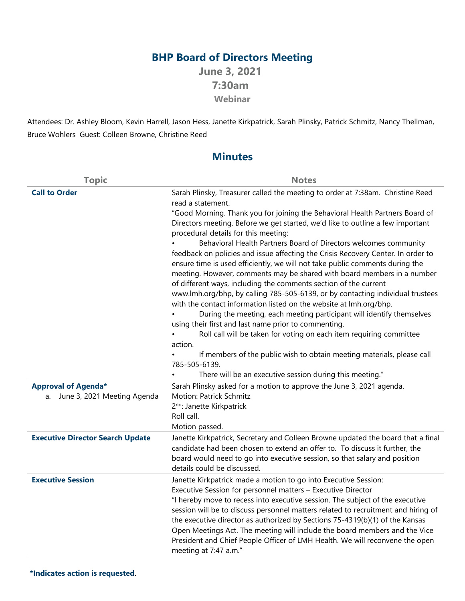## **BHP Board of Directors Meeting**

**June 3, 2021 7:30am Webinar**

Attendees: Dr. Ashley Bloom, Kevin Harrell, Jason Hess, Janette Kirkpatrick, Sarah Plinsky, Patrick Schmitz, Nancy Thellman, Bruce Wohlers Guest: Colleen Browne, Christine Reed

## **Minutes**

| <b>Topic</b>                            | <b>Notes</b>                                                                                                                                                                                                                                                                                                                                                                                                                                                                                                                                                                                                                                                                                                                                                                                                                                                                                                                                                                                                                                                                                                                                                                                                                           |
|-----------------------------------------|----------------------------------------------------------------------------------------------------------------------------------------------------------------------------------------------------------------------------------------------------------------------------------------------------------------------------------------------------------------------------------------------------------------------------------------------------------------------------------------------------------------------------------------------------------------------------------------------------------------------------------------------------------------------------------------------------------------------------------------------------------------------------------------------------------------------------------------------------------------------------------------------------------------------------------------------------------------------------------------------------------------------------------------------------------------------------------------------------------------------------------------------------------------------------------------------------------------------------------------|
| <b>Call to Order</b>                    | Sarah Plinsky, Treasurer called the meeting to order at 7:38am. Christine Reed<br>read a statement.<br>"Good Morning. Thank you for joining the Behavioral Health Partners Board of<br>Directors meeting. Before we get started, we'd like to outline a few important<br>procedural details for this meeting:<br>Behavioral Health Partners Board of Directors welcomes community<br>feedback on policies and issue affecting the Crisis Recovery Center. In order to<br>ensure time is used efficiently, we will not take public comments during the<br>meeting. However, comments may be shared with board members in a number<br>of different ways, including the comments section of the current<br>www.lmh.org/bhp, by calling 785-505-6139, or by contacting individual trustees<br>with the contact information listed on the website at lmh.org/bhp.<br>During the meeting, each meeting participant will identify themselves<br>using their first and last name prior to commenting.<br>Roll call will be taken for voting on each item requiring committee<br>action.<br>If members of the public wish to obtain meeting materials, please call<br>785-505-6139.<br>There will be an executive session during this meeting." |
| <b>Approval of Agenda*</b>              | Sarah Plinsky asked for a motion to approve the June 3, 2021 agenda.                                                                                                                                                                                                                                                                                                                                                                                                                                                                                                                                                                                                                                                                                                                                                                                                                                                                                                                                                                                                                                                                                                                                                                   |
| a. June 3, 2021 Meeting Agenda          | Motion: Patrick Schmitz                                                                                                                                                                                                                                                                                                                                                                                                                                                                                                                                                                                                                                                                                                                                                                                                                                                                                                                                                                                                                                                                                                                                                                                                                |
|                                         | 2 <sup>nd</sup> : Janette Kirkpatrick                                                                                                                                                                                                                                                                                                                                                                                                                                                                                                                                                                                                                                                                                                                                                                                                                                                                                                                                                                                                                                                                                                                                                                                                  |
|                                         | Roll call.<br>Motion passed.                                                                                                                                                                                                                                                                                                                                                                                                                                                                                                                                                                                                                                                                                                                                                                                                                                                                                                                                                                                                                                                                                                                                                                                                           |
| <b>Executive Director Search Update</b> | Janette Kirkpatrick, Secretary and Colleen Browne updated the board that a final<br>candidate had been chosen to extend an offer to. To discuss it further, the<br>board would need to go into executive session, so that salary and position<br>details could be discussed.                                                                                                                                                                                                                                                                                                                                                                                                                                                                                                                                                                                                                                                                                                                                                                                                                                                                                                                                                           |
| <b>Executive Session</b>                | Janette Kirkpatrick made a motion to go into Executive Session:<br>Executive Session for personnel matters - Executive Director<br>"I hereby move to recess into executive session. The subject of the executive<br>session will be to discuss personnel matters related to recruitment and hiring of<br>the executive director as authorized by Sections 75-4319(b)(1) of the Kansas<br>Open Meetings Act. The meeting will include the board members and the Vice<br>President and Chief People Officer of LMH Health. We will reconvene the open<br>meeting at 7:47 a.m."                                                                                                                                                                                                                                                                                                                                                                                                                                                                                                                                                                                                                                                           |